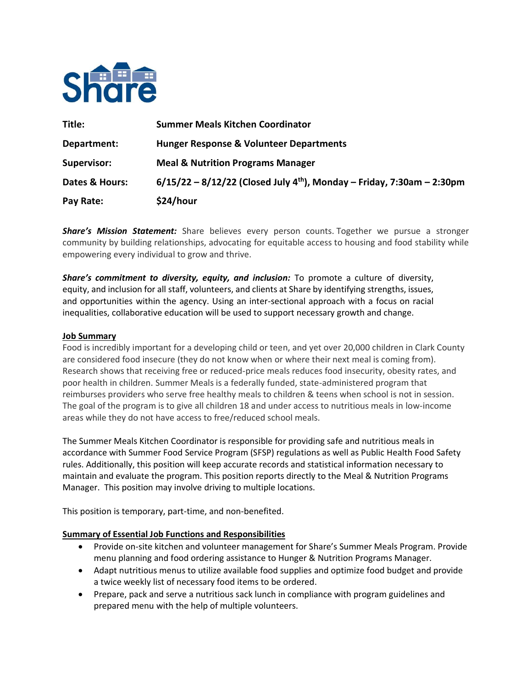

| Title:             | <b>Summer Meals Kitchen Coordinator</b>                                              |
|--------------------|--------------------------------------------------------------------------------------|
| Department:        | <b>Hunger Response &amp; Volunteer Departments</b>                                   |
| <b>Supervisor:</b> | <b>Meal &amp; Nutrition Programs Manager</b>                                         |
| Dates & Hours:     | $6/15/22 - 8/12/22$ (Closed July 4 <sup>th</sup> ), Monday – Friday, 7:30am – 2:30pm |
| Pay Rate:          | \$24/hour                                                                            |

*Share's Mission Statement:* Share believes every person counts. Together we pursue a stronger community by building relationships, advocating for equitable access to housing and food stability while empowering every individual to grow and thrive.

*Share's commitment to diversity, equity, and inclusion:* To promote a culture of diversity, equity, and inclusion for all staff, volunteers, and clients at Share by identifying strengths, issues, and opportunities within the agency. Using an inter-sectional approach with a focus on racial inequalities, collaborative education will be used to support necessary growth and change. 

### **Job Summary**

Food is incredibly important for a developing child or teen, and yet over 20,000 children in Clark County are considered food insecure (they do not know when or where their next meal is coming from). Research shows that receiving free or reduced-price meals reduces food insecurity, obesity rates, and poor health in children. Summer Meals is a federally funded, state-administered program that reimburses providers who serve free healthy meals to children & teens when school is not in session. The goal of the program is to give all children 18 and under access to nutritious meals in low-income areas while they do not have access to free/reduced school meals.

The Summer Meals Kitchen Coordinator is responsible for providing safe and nutritious meals in accordance with Summer Food Service Program (SFSP) regulations as well as Public Health Food Safety rules. Additionally, this position will keep accurate records and statistical information necessary to maintain and evaluate the program. This position reports directly to the Meal & Nutrition Programs Manager. This position may involve driving to multiple locations.

This position is temporary, part-time, and non-benefited.

### **Summary of Essential Job Functions and Responsibilities**

- Provide on-site kitchen and volunteer management for Share's Summer Meals Program. Provide menu planning and food ordering assistance to Hunger & Nutrition Programs Manager.
- Adapt nutritious menus to utilize available food supplies and optimize food budget and provide a twice weekly list of necessary food items to be ordered.
- Prepare, pack and serve a nutritious sack lunch in compliance with program guidelines and prepared menu with the help of multiple volunteers.